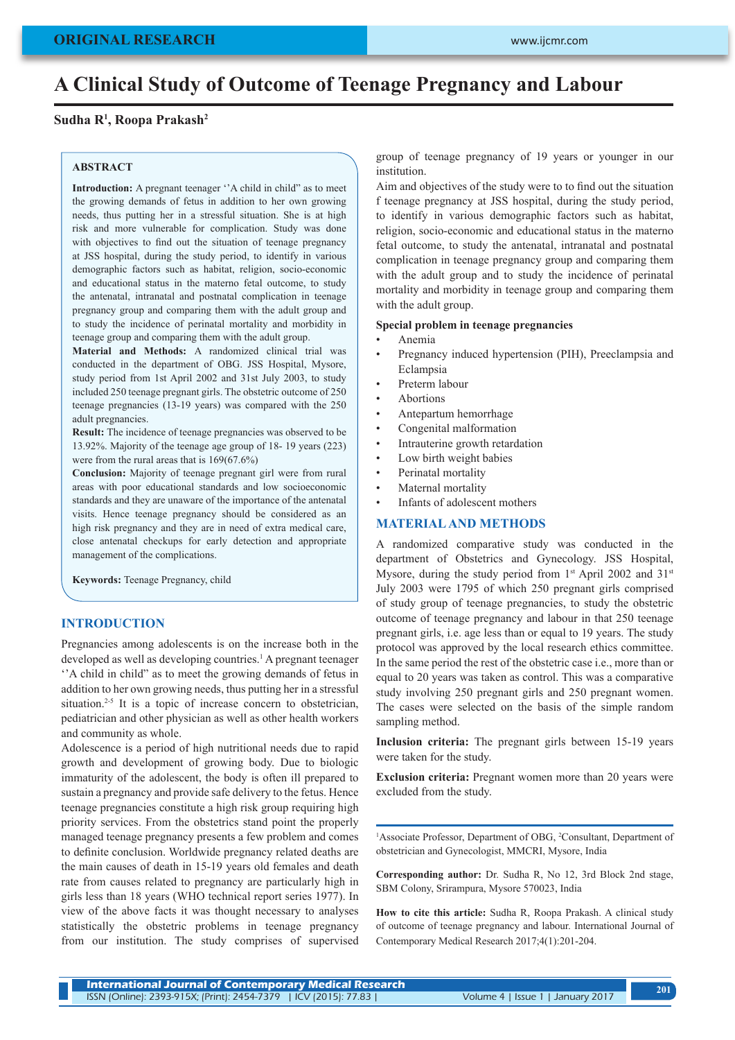# **A Clinical Study of Outcome of Teenage Pregnancy and Labour**

# **Sudha R1 , Roopa Prakash2**

#### **ABSTRACT**

**Introduction:** A pregnant teenager ''A child in child" as to meet the growing demands of fetus in addition to her own growing needs, thus putting her in a stressful situation. She is at high risk and more vulnerable for complication. Study was done with objectives to find out the situation of teenage pregnancy at JSS hospital, during the study period, to identify in various demographic factors such as habitat, religion, socio-economic and educational status in the materno fetal outcome, to study the antenatal, intranatal and postnatal complication in teenage pregnancy group and comparing them with the adult group and to study the incidence of perinatal mortality and morbidity in teenage group and comparing them with the adult group.

**Material and Methods:** A randomized clinical trial was conducted in the department of OBG. JSS Hospital, Mysore, study period from 1st April 2002 and 31st July 2003, to study included 250 teenage pregnant girls. The obstetric outcome of 250 teenage pregnancies (13-19 years) was compared with the 250 adult pregnancies.

**Result:** The incidence of teenage pregnancies was observed to be 13.92%. Majority of the teenage age group of 18- 19 years (223) were from the rural areas that is 169(67.6%)

**Conclusion:** Majority of teenage pregnant girl were from rural areas with poor educational standards and low socioeconomic standards and they are unaware of the importance of the antenatal visits. Hence teenage pregnancy should be considered as an high risk pregnancy and they are in need of extra medical care, close antenatal checkups for early detection and appropriate management of the complications.

**Keywords:** Teenage Pregnancy, child

#### **INTRODUCTION**

Pregnancies among adolescents is on the increase both in the developed as well as developing countries.<sup>1</sup> A pregnant teenager ''A child in child" as to meet the growing demands of fetus in addition to her own growing needs, thus putting her in a stressful situation.<sup>2-5</sup> It is a topic of increase concern to obstetrician, pediatrician and other physician as well as other health workers and community as whole.

Adolescence is a period of high nutritional needs due to rapid growth and development of growing body. Due to biologic immaturity of the adolescent, the body is often ill prepared to sustain a pregnancy and provide safe delivery to the fetus. Hence teenage pregnancies constitute a high risk group requiring high priority services. From the obstetrics stand point the properly managed teenage pregnancy presents a few problem and comes to definite conclusion. Worldwide pregnancy related deaths are the main causes of death in 15-19 years old females and death rate from causes related to pregnancy are particularly high in girls less than 18 years (WHO technical report series 1977). In view of the above facts it was thought necessary to analyses statistically the obstetric problems in teenage pregnancy from our institution. The study comprises of supervised group of teenage pregnancy of 19 years or younger in our institution.

Aim and objectives of the study were to to find out the situation f teenage pregnancy at JSS hospital, during the study period, to identify in various demographic factors such as habitat, religion, socio-economic and educational status in the materno fetal outcome, to study the antenatal, intranatal and postnatal complication in teenage pregnancy group and comparing them with the adult group and to study the incidence of perinatal mortality and morbidity in teenage group and comparing them with the adult group.

#### **Special problem in teenage pregnancies**

- Anemia
- Pregnancy induced hypertension (PIH), Preeclampsia and Eclampsia
- Preterm labour
- **Abortions**
- Antepartum hemorrhage
- Congenital malformation
- Intrauterine growth retardation
- Low birth weight babies
- Perinatal mortality
- Maternal mortality
- Infants of adolescent mothers

#### **MATERIAL AND METHODS**

A randomized comparative study was conducted in the department of Obstetrics and Gynecology. JSS Hospital, Mysore, during the study period from 1<sup>st</sup> April 2002 and 31<sup>st</sup> July 2003 were 1795 of which 250 pregnant girls comprised of study group of teenage pregnancies, to study the obstetric outcome of teenage pregnancy and labour in that 250 teenage pregnant girls, i.e. age less than or equal to 19 years. The study protocol was approved by the local research ethics committee. In the same period the rest of the obstetric case i.e., more than or equal to 20 years was taken as control. This was a comparative study involving 250 pregnant girls and 250 pregnant women. The cases were selected on the basis of the simple random sampling method.

**Inclusion criteria:** The pregnant girls between 15-19 years were taken for the study.

**Exclusion criteria:** Pregnant women more than 20 years were excluded from the study.

<sup>1</sup>Associate Professor, Department of OBG, <sup>2</sup>Consultant, Department of obstetrician and Gynecologist, MMCRI, Mysore, India

**Corresponding author:** Dr. Sudha R, No 12, 3rd Block 2nd stage, SBM Colony, Srirampura, Mysore 570023, India

**How to cite this article:** Sudha R, Roopa Prakash. A clinical study of outcome of teenage pregnancy and labour. International Journal of Contemporary Medical Research 2017;4(1):201-204.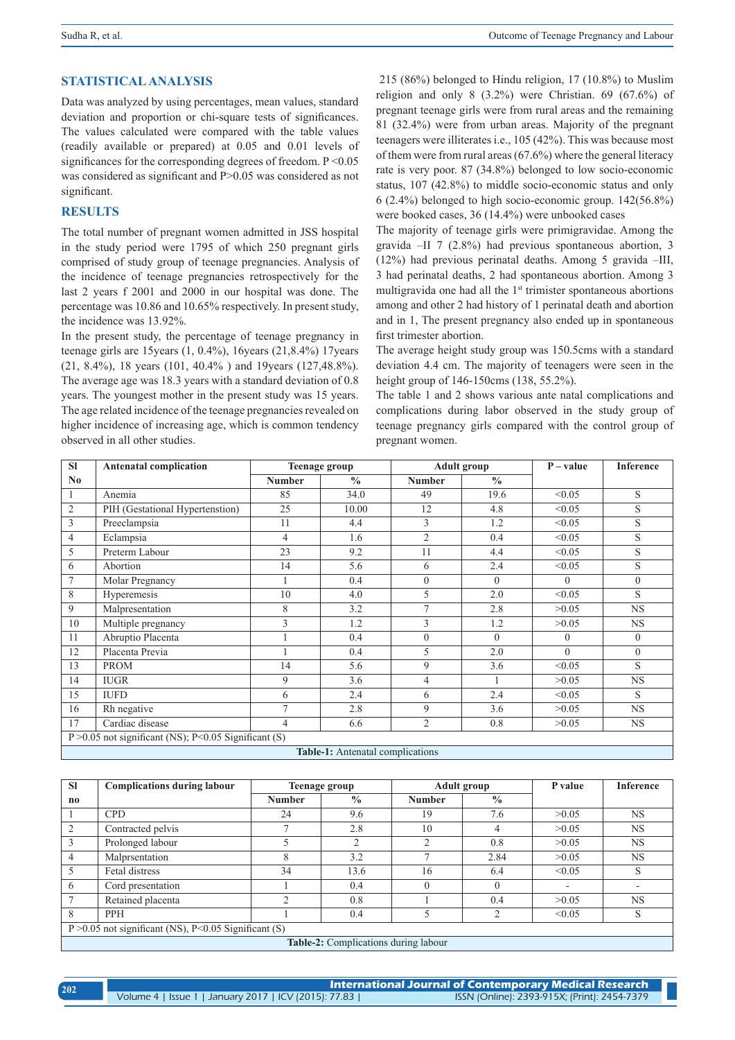# **STATISTICAL ANALYSIS**

Data was analyzed by using percentages, mean values, standard deviation and proportion or chi-square tests of significances. The values calculated were compared with the table values (readily available or prepared) at 0.05 and 0.01 levels of significances for the corresponding degrees of freedom. P < 0.05 was considered as significant and P>0.05 was considered as not significant.

# **RESULTS**

The total number of pregnant women admitted in JSS hospital in the study period were 1795 of which 250 pregnant girls comprised of study group of teenage pregnancies. Analysis of the incidence of teenage pregnancies retrospectively for the last 2 years f 2001 and 2000 in our hospital was done. The percentage was 10.86 and 10.65% respectively. In present study, the incidence was 13.92%.

In the present study, the percentage of teenage pregnancy in teenage girls are 15years (1, 0.4%), 16years (21,8.4%) 17years (21, 8.4%), 18 years (101, 40.4% ) and 19years (127,48.8%). The average age was 18.3 years with a standard deviation of 0.8 years. The youngest mother in the present study was 15 years. The age related incidence of the teenage pregnancies revealed on higher incidence of increasing age, which is common tendency observed in all other studies.

 215 (86%) belonged to Hindu religion, 17 (10.8%) to Muslim religion and only 8 (3.2%) were Christian. 69 (67.6%) of pregnant teenage girls were from rural areas and the remaining 81 (32.4%) were from urban areas. Majority of the pregnant teenagers were illiterates i.e., 105 (42%). This was because most of them were from rural areas (67.6%) where the general literacy rate is very poor. 87 (34.8%) belonged to low socio-economic status, 107 (42.8%) to middle socio-economic status and only 6 (2.4%) belonged to high socio-economic group. 142(56.8%) were booked cases, 36 (14.4%) were unbooked cases

The majority of teenage girls were primigravidae. Among the gravida –II 7 (2.8%) had previous spontaneous abortion, 3 (12%) had previous perinatal deaths. Among 5 gravida –III, 3 had perinatal deaths, 2 had spontaneous abortion. Among 3 multigravida one had all the 1<sup>st</sup> trimister spontaneous abortions among and other 2 had history of 1 perinatal death and abortion and in 1, The present pregnancy also ended up in spontaneous first trimester abortion.

The average height study group was 150.5cms with a standard deviation 4.4 cm. The majority of teenagers were seen in the height group of 146-150cms (138, 55.2%).

The table 1 and 2 shows various ante natal complications and complications during labor observed in the study group of teenage pregnancy girls compared with the control group of pregnant women.

| <b>SI</b>                                               | <b>Antenatal complication</b>   | <b>Teenage group</b> |               | <b>Adult group</b> |               | $P - value$ | <b>Inference</b> |
|---------------------------------------------------------|---------------------------------|----------------------|---------------|--------------------|---------------|-------------|------------------|
| $\mathbf{N}\mathbf{0}$                                  |                                 | <b>Number</b>        | $\frac{0}{0}$ | <b>Number</b>      | $\frac{0}{0}$ |             |                  |
|                                                         | Anemia                          | 85                   | 34.0          | 49                 | 19.6          | < 0.05      | S                |
| $\overline{2}$                                          | PIH (Gestational Hypertenstion) | 25                   | 10.00         | 12                 | 4.8           | < 0.05      | S                |
| 3                                                       | Preeclampsia                    | 11                   | 4.4           | 3                  | 1.2           | < 0.05      | S                |
| $\overline{4}$                                          | Eclampsia                       | $\overline{4}$       | 1.6           | $\overline{2}$     | 0.4           | < 0.05      | S                |
| 5                                                       | Preterm Labour                  | 23                   | 9.2           | 11                 | 4.4           | < 0.05      | S                |
| 6                                                       | Abortion                        | 14                   | 5.6           | 6                  | 2.4           | < 0.05      | S                |
| $\overline{7}$                                          | Molar Pregnancy                 |                      | 0.4           | $\overline{0}$     | $\theta$      | $\Omega$    | $\mathbf{0}$     |
| 8                                                       | Hyperemesis                     | 10                   | 4.0           | 5                  | 2.0           | < 0.05      | S                |
| 9                                                       | Malpresentation                 | 8                    | 3.2           | $\overline{7}$     | 2.8           | >0.05       | <b>NS</b>        |
| 10                                                      | Multiple pregnancy              | 3                    | 1.2           | 3                  | 1.2           | >0.05       | <b>NS</b>        |
| 11                                                      | Abruptio Placenta               |                      | 0.4           | $\mathbf{0}$       | $\theta$      | $\theta$    | $\theta$         |
| 12                                                      | Placenta Previa                 |                      | 0.4           | 5                  | 2.0           | $\Omega$    | $\mathbf{0}$     |
| 13                                                      | <b>PROM</b>                     | 14                   | 5.6           | 9                  | 3.6           | < 0.05      | S                |
| 14                                                      | <b>IUGR</b>                     | 9                    | 3.6           | $\overline{4}$     |               | >0.05       | <b>NS</b>        |
| 15                                                      | <b>IUFD</b>                     | 6                    | 2.4           | 6                  | 2.4           | < 0.05      | S                |
| 16                                                      | Rh negative                     | $\overline{7}$       | 2.8           | 9                  | 3.6           | >0.05       | <b>NS</b>        |
| 17                                                      | Cardiac disease                 | 4                    | 6.6           | $\overline{2}$     | 0.8           | >0.05       | <b>NS</b>        |
| P > 0.05 not significant (NS); P < 0.05 Significant (S) |                                 |                      |               |                    |               |             |                  |
| Table-1: Antenatal complications                        |                                 |                      |               |                    |               |             |                  |

| <b>SI</b>                                                   | <b>Complications during labour</b>   |               | <b>Adult group</b><br>Teenage group |                | P value       | Inference |           |
|-------------------------------------------------------------|--------------------------------------|---------------|-------------------------------------|----------------|---------------|-----------|-----------|
| no                                                          |                                      | <b>Number</b> | $\frac{0}{0}$                       | <b>Number</b>  | $\frac{0}{0}$ |           |           |
|                                                             | <b>CPD</b>                           | 24            | 9.6                                 | 19             | 7.6           | >0.05     | <b>NS</b> |
| 2                                                           | Contracted pelvis                    |               | 2.8                                 | 10             |               | >0.05     | <b>NS</b> |
| $\overline{3}$                                              | Prolonged labour                     |               | C.                                  | $\overline{c}$ | 0.8           | >0.05     | <b>NS</b> |
| $\overline{4}$                                              | Malprsentation                       | 8             | 3.2                                 | ┑              | 2.84          | >0.05     | <b>NS</b> |
| .5                                                          | Fetal distress                       | 34            | 13.6                                | 16             | 6.4           | < 0.05    |           |
| 6                                                           | Cord presentation                    |               | 0.4                                 |                |               |           |           |
|                                                             | Retained placenta                    | ◠             | 0.8                                 |                | 0.4           | >0.05     | <b>NS</b> |
| 8                                                           | <b>PPH</b>                           |               | 0.4                                 |                | $\bigcirc$    | < 0.05    | S         |
| $P > 0.05$ not significant (NS), $P < 0.05$ Significant (S) |                                      |               |                                     |                |               |           |           |
|                                                             | Table 2. Complications during labour |               |                                     |                |               |           |           |

**Table-2:** Complications during labour

| 202 | <b>International Journal of Contemporary Medical Research</b> |                                              |  |  |  |  |
|-----|---------------------------------------------------------------|----------------------------------------------|--|--|--|--|
|     | Volume 4   Issue 1   January 2017   ICV (2015): 77.83         | ISSN (Online): 2393-915X; (Print): 2454-7379 |  |  |  |  |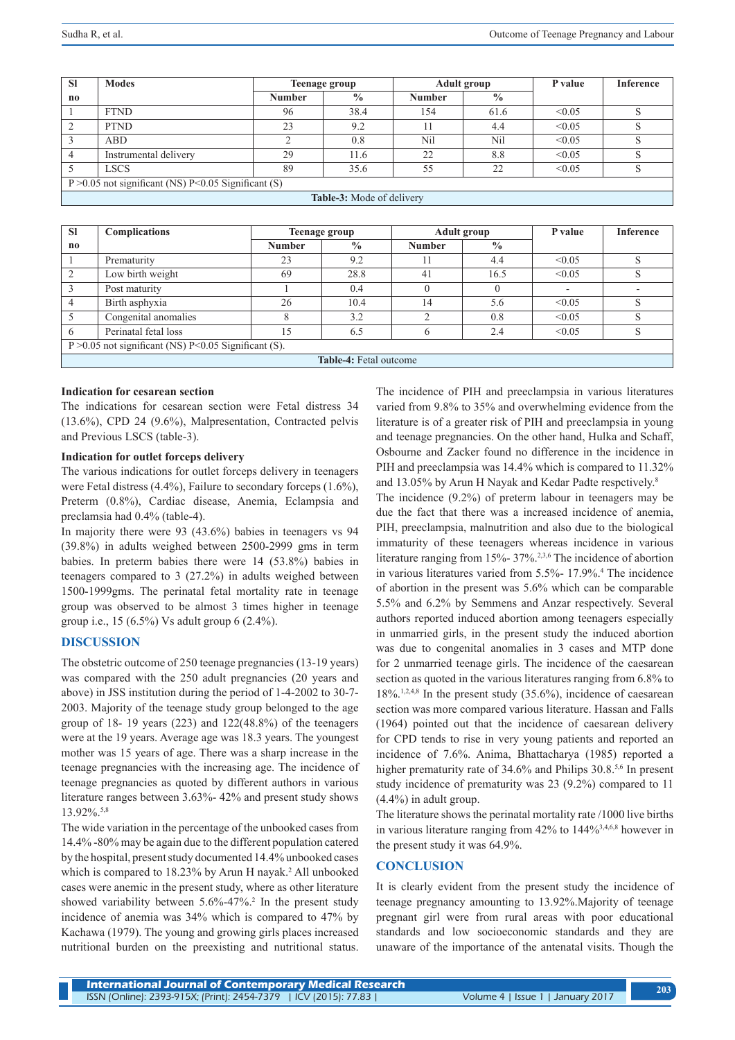| <b>SI</b>                                                  | <b>Modes</b>          | <b>Teenage group</b> |               | <b>Adult group</b> |               | P value | <b>Inference</b> |
|------------------------------------------------------------|-----------------------|----------------------|---------------|--------------------|---------------|---------|------------------|
| no                                                         |                       | <b>Number</b>        | $\frac{0}{0}$ | <b>Number</b>      | $\frac{0}{0}$ |         |                  |
|                                                            | <b>FTND</b>           | 96                   | 38.4          | 154                | 61.6          | < 0.05  |                  |
| 2                                                          | <b>PTND</b>           | 23                   | 9.2           |                    | 4.4           | < 0.05  |                  |
|                                                            | ABD                   |                      | 0.8           | Nil                | Nil           | < 0.05  |                  |
|                                                            | Instrumental delivery | 29                   | 11.6          | 22                 | 8.8           | < 0.05  |                  |
|                                                            | <b>LSCS</b>           | 89                   | 35.6          | 55                 | 22            | < 0.05  |                  |
| $P > 0.05$ not significant (NS) $P < 0.05$ Significant (S) |                       |                      |               |                    |               |         |                  |
| Table-3: Mode of delivery                                  |                       |                      |               |                    |               |         |                  |

| <b>SI</b>                                               | <b>Complications</b> | <b>Teenage group</b> |               | <b>Adult group</b> |               | P value | <b>Inference</b> |
|---------------------------------------------------------|----------------------|----------------------|---------------|--------------------|---------------|---------|------------------|
| $\mathbf{n}$                                            |                      | <b>Number</b>        | $\frac{0}{0}$ | <b>Number</b>      | $\frac{0}{0}$ |         |                  |
|                                                         | Prematurity          | 23                   | 9.2           | 11                 | 4.4           | < 0.05  | S                |
|                                                         | Low birth weight     | 69                   | 28.8          | 41                 | 16.5          | < 0.05  | S                |
|                                                         | Post maturity        |                      | 0.4           |                    |               |         |                  |
| $\overline{4}$                                          | Birth asphyxia       | 26                   | 10.4          | 14                 | 5.6           | < 0.05  | S                |
|                                                         | Congenital anomalies |                      | 3.2           |                    | 0.8           | < 0.05  | S                |
| 6                                                       | Perinatal fetal loss | 15                   | 6.5           | 6                  | 2.4           | < 0.05  | S                |
| P > 0.05 not significant (NS) P < 0.05 Significant (S). |                      |                      |               |                    |               |         |                  |
| <b>Table-4:</b> Fetal outcome                           |                      |                      |               |                    |               |         |                  |

#### **Indication for cesarean section**

The indications for cesarean section were Fetal distress 34 (13.6%), CPD 24 (9.6%), Malpresentation, Contracted pelvis and Previous LSCS (table-3).

#### **Indication for outlet forceps delivery**

The various indications for outlet forceps delivery in teenagers were Fetal distress (4.4%), Failure to secondary forceps (1.6%), Preterm (0.8%), Cardiac disease, Anemia, Eclampsia and preclamsia had 0.4% (table-4).

In majority there were 93 (43.6%) babies in teenagers vs 94 (39.8%) in adults weighed between 2500-2999 gms in term babies. In preterm babies there were 14 (53.8%) babies in teenagers compared to 3 (27.2%) in adults weighed between 1500-1999gms. The perinatal fetal mortality rate in teenage group was observed to be almost 3 times higher in teenage group i.e., 15 (6.5%) Vs adult group 6 (2.4%).

# **DISCUSSION**

The obstetric outcome of 250 teenage pregnancies (13-19 years) was compared with the 250 adult pregnancies (20 years and above) in JSS institution during the period of 1-4-2002 to 30-7- 2003. Majority of the teenage study group belonged to the age group of 18- 19 years (223) and 122(48.8%) of the teenagers were at the 19 years. Average age was 18.3 years. The youngest mother was 15 years of age. There was a sharp increase in the teenage pregnancies with the increasing age. The incidence of teenage pregnancies as quoted by different authors in various literature ranges between 3.63%- 42% and present study shows 13.92%.5,8

The wide variation in the percentage of the unbooked cases from 14.4% -80% may be again due to the different population catered by the hospital, present study documented 14.4% unbooked cases which is compared to 18.23% by Arun H nayak.<sup>2</sup> All unbooked cases were anemic in the present study, where as other literature showed variability between 5.6%-47%.<sup>2</sup> In the present study incidence of anemia was 34% which is compared to 47% by Kachawa (1979). The young and growing girls places increased nutritional burden on the preexisting and nutritional status.

The incidence of PIH and preeclampsia in various literatures varied from 9.8% to 35% and overwhelming evidence from the literature is of a greater risk of PIH and preeclampsia in young and teenage pregnancies. On the other hand, Hulka and Schaff, Osbourne and Zacker found no difference in the incidence in PIH and preeclampsia was 14.4% which is compared to 11.32% and 13.05% by Arun H Nayak and Kedar Padte respctively.8

The incidence (9.2%) of preterm labour in teenagers may be due the fact that there was a increased incidence of anemia, PIH, preeclampsia, malnutrition and also due to the biological immaturity of these teenagers whereas incidence in various literature ranging from 15%- 37%.2,3,6 The incidence of abortion in various literatures varied from 5.5%- 17.9%.<sup>4</sup> The incidence of abortion in the present was 5.6% which can be comparable 5.5% and 6.2% by Semmens and Anzar respectively. Several authors reported induced abortion among teenagers especially in unmarried girls, in the present study the induced abortion was due to congenital anomalies in 3 cases and MTP done for 2 unmarried teenage girls. The incidence of the caesarean section as quoted in the various literatures ranging from 6.8% to  $18\%$ .<sup>1,2,4,8</sup> In the present study (35.6%), incidence of caesarean section was more compared various literature. Hassan and Falls (1964) pointed out that the incidence of caesarean delivery for CPD tends to rise in very young patients and reported an incidence of 7.6%. Anima, Bhattacharya (1985) reported a higher prematurity rate of 34.6% and Philips 30.8.<sup>5,6</sup> In present study incidence of prematurity was 23 (9.2%) compared to 11 (4.4%) in adult group.

The literature shows the perinatal mortality rate /1000 live births in various literature ranging from 42% to 144%3,4,6,8 however in the present study it was 64.9%.

# **CONCLUSION**

It is clearly evident from the present study the incidence of teenage pregnancy amounting to 13.92%.Majority of teenage pregnant girl were from rural areas with poor educational standards and low socioeconomic standards and they are unaware of the importance of the antenatal visits. Though the